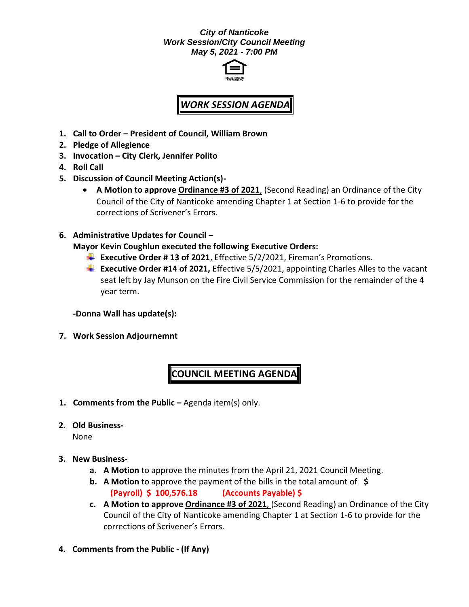## *City of Nanticoke Work Session/City Council Meeting May 5, 2021 - 7:00 PM*



## *WORK SESSION AGENDA*

- **1. Call to Order – President of Council, William Brown**
- **2. Pledge of Allegience**
- **3. Invocation – City Clerk, Jennifer Polito**
- **4. Roll Call**
- **5. Discussion of Council Meeting Action(s)-**
	- **A Motion to approve Ordinance #3 of 2021**, (Second Reading) an Ordinance of the City Council of the City of Nanticoke amending Chapter 1 at Section 1-6 to provide for the corrections of Scrivener's Errors.
- **6. Administrative Updates for Council –**

**Mayor Kevin Coughlun executed the following Executive Orders:**

- **Executive Order # 13 of 2021**, Effective 5/2/2021, Fireman's Promotions.
- **Executive Order #14 of 2021,** Effective 5/5/2021, appointing Charles Alles to the vacant seat left by Jay Munson on the Fire Civil Service Commission for the remainder of the 4 year term.

**-Donna Wall has update(s):**

**7. Work Session Adjournemnt**

## **COUNCIL MEETING AGENDA**

- **1. Comments from the Public –** Agenda item(s) only.
- **2. Old Business-**

None

- **3. New Business**
	- **a. A Motion** to approve the minutes from the April 21, 2021 Council Meeting.
	- **b. A Motion** to approve the payment of the bills in the total amount of **\$ (Payroll) \$ 100,576.18 (Accounts Payable) \$**
	- **c. A Motion to approve Ordinance #3 of 2021**, (Second Reading) an Ordinance of the City Council of the City of Nanticoke amending Chapter 1 at Section 1-6 to provide for the corrections of Scrivener's Errors.
- **4. Comments from the Public - (If Any)**